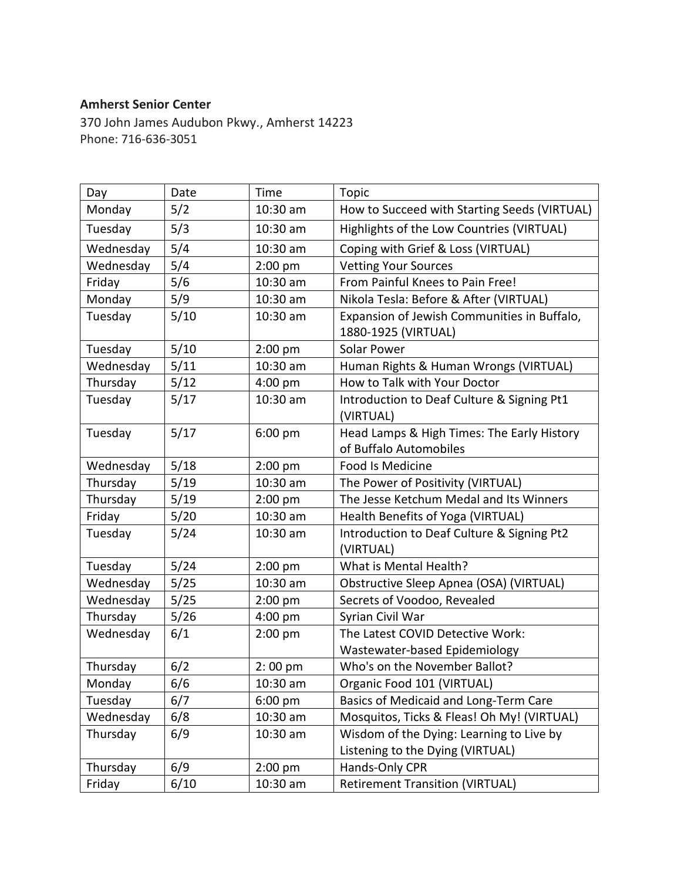## **Amherst Senior Center**

370 John James Audubon Pkwy., Amherst 14223 Phone: 716-636-3051

| Day       | Date | Time              | <b>Topic</b>                                                         |
|-----------|------|-------------------|----------------------------------------------------------------------|
| Monday    | 5/2  | $10:30$ am        | How to Succeed with Starting Seeds (VIRTUAL)                         |
| Tuesday   | 5/3  | 10:30 am          | Highlights of the Low Countries (VIRTUAL)                            |
| Wednesday | 5/4  | 10:30 am          | Coping with Grief & Loss (VIRTUAL)                                   |
| Wednesday | 5/4  | $2:00$ pm         | <b>Vetting Your Sources</b>                                          |
| Friday    | 5/6  | 10:30 am          | From Painful Knees to Pain Free!                                     |
| Monday    | 5/9  | $10:30$ am        | Nikola Tesla: Before & After (VIRTUAL)                               |
| Tuesday   | 5/10 | 10:30 am          | Expansion of Jewish Communities in Buffalo,<br>1880-1925 (VIRTUAL)   |
| Tuesday   | 5/10 | $2:00$ pm         | Solar Power                                                          |
| Wednesday | 5/11 | 10:30 am          | Human Rights & Human Wrongs (VIRTUAL)                                |
| Thursday  | 5/12 | $4:00$ pm         | How to Talk with Your Doctor                                         |
| Tuesday   | 5/17 | 10:30 am          | Introduction to Deaf Culture & Signing Pt1<br>(VIRTUAL)              |
| Tuesday   | 5/17 | $6:00$ pm         | Head Lamps & High Times: The Early History<br>of Buffalo Automobiles |
| Wednesday | 5/18 | $2:00$ pm         | Food Is Medicine                                                     |
| Thursday  | 5/19 | 10:30 am          | The Power of Positivity (VIRTUAL)                                    |
| Thursday  | 5/19 | $2:00$ pm         | The Jesse Ketchum Medal and Its Winners                              |
| Friday    | 5/20 | 10:30 am          | Health Benefits of Yoga (VIRTUAL)                                    |
| Tuesday   | 5/24 | 10:30 am          | Introduction to Deaf Culture & Signing Pt2<br>(VIRTUAL)              |
| Tuesday   | 5/24 | $2:00$ pm         | What is Mental Health?                                               |
| Wednesday | 5/25 | 10:30 am          | Obstructive Sleep Apnea (OSA) (VIRTUAL)                              |
| Wednesday | 5/25 | $2:00$ pm         | Secrets of Voodoo, Revealed                                          |
| Thursday  | 5/26 | 4:00 pm           | Syrian Civil War                                                     |
| Wednesday | 6/1  | $2:00$ pm         | The Latest COVID Detective Work:                                     |
|           |      |                   | Wastewater-based Epidemiology                                        |
| Thursday  | 6/2  | $2:00$ pm         | Who's on the November Ballot?                                        |
| Monday    | 6/6  | 10:30 am          | Organic Food 101 (VIRTUAL)                                           |
| Tuesday   | 6/7  | $6:00 \text{ pm}$ | Basics of Medicaid and Long-Term Care                                |
| Wednesday | 6/8  | 10:30 am          | Mosquitos, Ticks & Fleas! Oh My! (VIRTUAL)                           |
| Thursday  | 6/9  | 10:30 am          | Wisdom of the Dying: Learning to Live by                             |
|           |      |                   | Listening to the Dying (VIRTUAL)                                     |
| Thursday  | 6/9  | $2:00$ pm         | Hands-Only CPR                                                       |
| Friday    | 6/10 | 10:30 am          | <b>Retirement Transition (VIRTUAL)</b>                               |